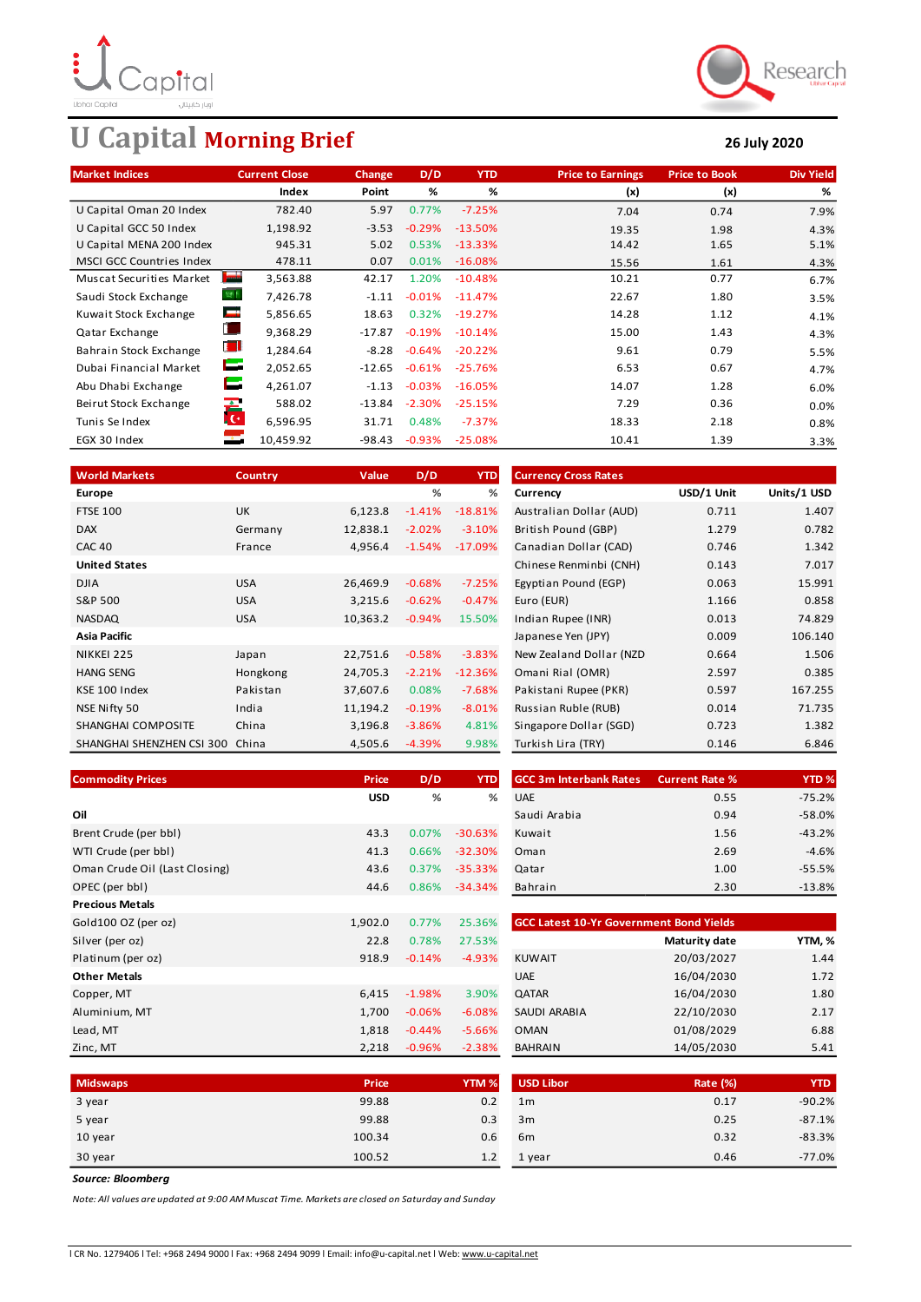

# **U Capital Morning Brief 26 July 2020**



| <b>Market Indices</b>                             | <b>Current Close</b> | Change   | D/D       | <b>YTD</b> | <b>Price to Earnings</b> | <b>Price to Book</b> | <b>Div Yield</b> |
|---------------------------------------------------|----------------------|----------|-----------|------------|--------------------------|----------------------|------------------|
|                                                   | Index                | Point    | %         | %          | (x)                      | (x)                  | %                |
| U Capital Oman 20 Index                           | 782.40               | 5.97     | 0.77%     | $-7.25%$   | 7.04                     | 0.74                 | 7.9%             |
| U Capital GCC 50 Index                            | 1,198.92             | $-3.53$  | $-0.29%$  | $-13.50%$  | 19.35                    | 1.98                 | 4.3%             |
| U Capital MENA 200 Index                          | 945.31               | 5.02     | 0.53%     | $-13.33%$  | 14.42                    | 1.65                 | 5.1%             |
| <b>MSCI GCC Countries Index</b>                   | 478.11               | 0.07     | 0.01%     | $-16.08%$  | 15.56                    | 1.61                 | 4.3%             |
| <b>Species</b><br><b>Muscat Securities Market</b> | 3,563.88             | 42.17    | 1.20%     | $-10.48%$  | 10.21                    | 0.77                 | 6.7%             |
| 寄作<br>Saudi Stock Exchange                        | 7,426.78             | $-1.11$  | $-0.01%$  | $-11.47%$  | 22.67                    | 1.80                 | 3.5%             |
| m<br>Kuwait Stock Exchange                        | 5,856.65             | 18.63    | 0.32%     | $-19.27%$  | 14.28                    | 1.12                 | 4.1%             |
| Qatar Exchange                                    | 9,368.29             | $-17.87$ | $-0.19%$  | $-10.14%$  | 15.00                    | 1.43                 | 4.3%             |
| U<br>Bahrain Stock Exchange                       | 1,284.64             | $-8.28$  | $-0.64%$  | $-20.22%$  | 9.61                     | 0.79                 | 5.5%             |
| Н<br>Dubai Financial Market                       | 2,052.65             | $-12.65$ | $-0.61%$  | $-25.76%$  | 6.53                     | 0.67                 | 4.7%             |
| E<br>Abu Dhabi Exchange                           | 4,261.07             | $-1.13$  | $-0.03\%$ | $-16.05%$  | 14.07                    | 1.28                 | 6.0%             |
| Beirut Stock Exchange                             | ra<br>Ici<br>588.02  | $-13.84$ | $-2.30%$  | $-25.15%$  | 7.29                     | 0.36                 | 0.0%             |
| Tunis Se Index                                    | 6,596.95             | 31.71    | 0.48%     | $-7.37%$   | 18.33                    | 2.18                 | 0.8%             |
| $\mathcal{L}$<br>EGX 30 Index                     | 10,459.92            | $-98.43$ | $-0.93%$  | $-25.08%$  | 10.41                    | 1.39                 | 3.3%             |

| <b>World Markets</b>      | <b>Country</b> | Value    | D/D       | <b>YTD</b> | <b>Currency Cross Rates</b> |            |             |
|---------------------------|----------------|----------|-----------|------------|-----------------------------|------------|-------------|
| Europe                    |                |          | %         | %          | Currency                    | USD/1 Unit | Units/1 USD |
| <b>FTSE 100</b>           | <b>UK</b>      | 6,123.8  | $-1.41%$  | $-18.81%$  | Australian Dollar (AUD)     | 0.711      | 1.407       |
| <b>DAX</b>                | Germany        | 12,838.1 | $-2.02%$  | $-3.10%$   | British Pound (GBP)         | 1.279      | 0.782       |
| <b>CAC 40</b>             | France         | 4,956.4  | $-1.54%$  | $-17.09%$  | Canadian Dollar (CAD)       | 0.746      | 1.342       |
| <b>United States</b>      |                |          |           |            | Chinese Renminbi (CNH)      | 0.143      | 7.017       |
| <b>DJIA</b>               | <b>USA</b>     | 26,469.9 | $-0.68%$  | $-7.25%$   | Egyptian Pound (EGP)        | 0.063      | 15.991      |
| S&P 500                   | <b>USA</b>     | 3,215.6  | $-0.62%$  | $-0.47%$   | Euro (EUR)                  | 1.166      | 0.858       |
| <b>NASDAQ</b>             | <b>USA</b>     | 10,363.2 | $-0.94%$  | 15.50%     | Indian Rupee (INR)          | 0.013      | 74.829      |
| <b>Asia Pacific</b>       |                |          |           |            | Japanese Yen (JPY)          | 0.009      | 106.140     |
| NIKKEI 225                | Japan          | 22,751.6 | $-0.58%$  | $-3.83%$   | New Zealand Dollar (NZD)    | 0.664      | 1.506       |
| <b>HANG SENG</b>          | Hongkong       | 24,705.3 | $-2.21%$  | $-12.36%$  | Omani Rial (OMR)            | 2.597      | 0.385       |
| KSE 100 Index             | Pakistan       | 37,607.6 | 0.08%     | $-7.68%$   | Pakistani Rupee (PKR)       | 0.597      | 167.255     |
| NSE Nifty 50              | India          | 11,194.2 | $-0.19%$  | $-8.01%$   | Russian Ruble (RUB)         | 0.014      | 71.735      |
| SHANGHAI COMPOSITE        | China          | 3,196.8  | $-3.86%$  | 4.81%      | Singapore Dollar (SGD)      | 0.723      | 1.382       |
| SHANGHAI SHENZHEN CSI 300 | China          | 4,505.6  | $-4.39\%$ | 9.98%      | Turkish Lira (TRY)          | 0.146      | 6.846       |

| <b>Commodity Prices</b>       | <b>Price</b> | D/D      | <b>YTD</b> | <b>GCC 3m Interbank Rates</b>                  | <b>Current Rate %</b> | YTD <sub>%</sub> |
|-------------------------------|--------------|----------|------------|------------------------------------------------|-----------------------|------------------|
|                               | <b>USD</b>   | %        | %          | <b>UAE</b>                                     | 0.55                  | $-75.2%$         |
| Oil                           |              |          |            | Saudi Arabia                                   | 0.94                  | $-58.0%$         |
| Brent Crude (per bbl)         | 43.3         | 0.07%    | $-30.63%$  | Kuwait                                         | 1.56                  | $-43.2%$         |
| WTI Crude (per bbl)           | 41.3         | 0.66%    | $-32.30%$  | Oman                                           | 2.69                  | $-4.6%$          |
| Oman Crude Oil (Last Closing) | 43.6         | 0.37%    | $-35.33%$  | Qatar                                          | 1.00                  | $-55.5%$         |
| OPEC (per bbl)                | 44.6         | 0.86%    | $-34.34%$  | Bahrain                                        | 2.30                  | $-13.8%$         |
| <b>Precious Metals</b>        |              |          |            |                                                |                       |                  |
| Gold100 OZ (per oz)           | 1,902.0      | 0.77%    | 25.36%     | <b>GCC Latest 10-Yr Government Bond Yields</b> |                       |                  |
| Silver (per oz)               | 22.8         | 0.78%    | 27.53%     |                                                | Maturity date         | YTM, %           |
| Platinum (per oz)             | 918.9        | $-0.14%$ | $-4.93%$   | <b>KUWAIT</b>                                  | 20/03/2027            | 1.44             |
| <b>Other Metals</b>           |              |          |            | <b>UAE</b>                                     | 16/04/2030            | 1.72             |
| Copper, MT                    | 6,415        | $-1.98%$ | 3.90%      | QATAR                                          | 16/04/2030            | 1.80             |
| Aluminium, MT                 | 1,700        | $-0.06%$ | $-6.08%$   | <b>SAUDI ARABIA</b>                            | 22/10/2030            | 2.17             |
| Lead, MT                      | 1,818        | $-0.44%$ | $-5.66%$   | <b>OMAN</b>                                    | 01/08/2029            | 6.88             |
| Zinc, MT                      | 2,218        | $-0.96%$ | $-2.38%$   | <b>BAHRAIN</b>                                 | 14/05/2030            | 5.41             |

| <b>rice</b> | D/D   | <b>YTD</b> | <b>GCC 3m Interbank Rates</b> | <b>Current Rate %</b> | <b>YTD %</b> |
|-------------|-------|------------|-------------------------------|-----------------------|--------------|
| USD         | %     | %          | <b>UAE</b>                    | 0.55                  | $-75.2%$     |
|             |       |            | Saudi Arabia                  | 0.94                  | $-58.0%$     |
| 43.3        | 0.07% | $-30.63%$  | Kuwait                        | 1.56                  | $-43.2%$     |
| 41.3        | 0.66% | $-32.30%$  | Oman                          | 2.69                  | $-4.6%$      |
| 43.6        | 0.37% | $-35.33%$  | Qatar                         | 1.00                  | $-55.5%$     |
| 44.6        | 0.86% | $-34.34%$  | Bahrain                       | 2.30                  | $-13.8%$     |
|             |       |            |                               |                       |              |

| <b>GCC Latest 10-Yr Government Bond Yields</b> |               |        |  |  |  |  |  |
|------------------------------------------------|---------------|--------|--|--|--|--|--|
|                                                | Maturity date | YTM, % |  |  |  |  |  |
| <b>KUWAIT</b>                                  | 20/03/2027    | 1.44   |  |  |  |  |  |
| <b>UAE</b>                                     | 16/04/2030    | 1.72   |  |  |  |  |  |
| <b>QATAR</b>                                   | 16/04/2030    | 1.80   |  |  |  |  |  |
| SAUDI ARABIA                                   | 22/10/2030    | 2.17   |  |  |  |  |  |
| <b>OMAN</b>                                    | 01/08/2029    | 6.88   |  |  |  |  |  |
| <b>BAHRAIN</b>                                 | 14/05/2030    | 5.41   |  |  |  |  |  |

| <b>Midswaps</b> | Price  | YTM <sub>%</sub> | USD Libor      | <b>Rate (%)</b> | <b>YTD</b> |
|-----------------|--------|------------------|----------------|-----------------|------------|
| 3 year          | 99.88  | 0.2              | 1 <sub>m</sub> | 0.17            | $-90.2%$   |
| 5 year          | 99.88  | 0.3              | 3m             | 0.25            | $-87.1%$   |
| 10 year         | 100.34 | 0.6              | 6 <sub>m</sub> | 0.32            | $-83.3%$   |
| 30 year         | 100.52 | 1.2              | 1 year         | 0.46            | $-77.0%$   |

*Source: Bloomberg*

*Note: All values are updated at 9:00 AM Muscat Time. Markets are closed on Saturday and Sunday*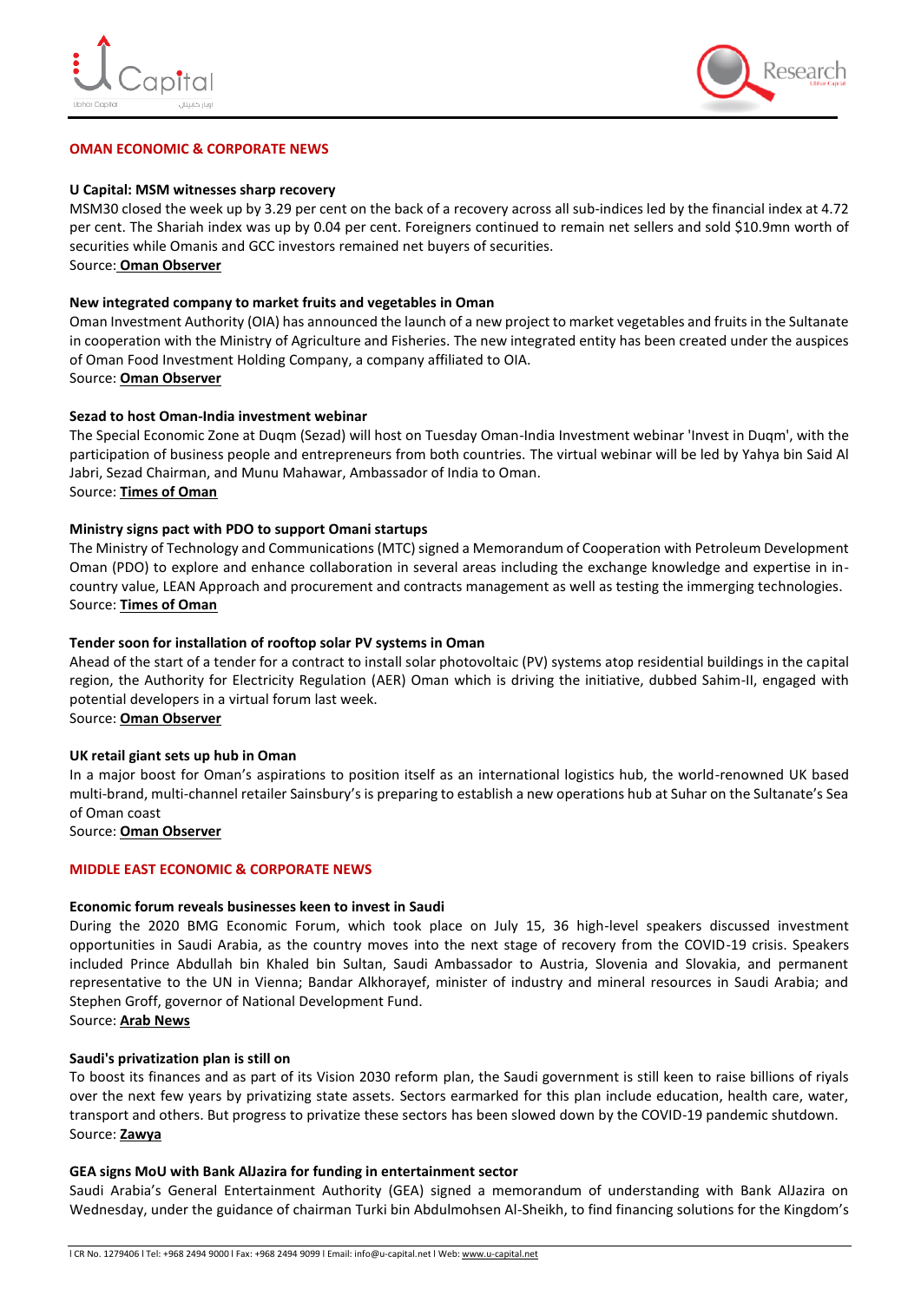



#### **OMAN ECONOMIC & CORPORATE NEWS**

#### **U Capital: MSM witnesses sharp recovery**

MSM30 closed the week up by 3.29 per cent on the back of a recovery across all sub-indices led by the financial index at 4.72 per cent. The Shariah index was up by 0.04 per cent. Foreigners continued to remain net sellers and sold \$10.9mn worth of securities while Omanis and GCC investors remained net buyers of securities. Source: **[Oman Observer](https://www.omanobserver.om/msm-witnesses-sharp-recovery/)**

#### **New integrated company to market fruits and vegetables in Oman**

Oman Investment Authority (OIA) has announced the launch of a new project to market vegetables and fruits in the Sultanate in cooperation with the Ministry of Agriculture and Fisheries. The new integrated entity has been created under the auspices of Oman Food Investment Holding Company, a company affiliated to OIA. Source: **[Oman Observer](https://www.omanobserver.om/new-integrated-company-to-market-fruits-and-vegetables-in-oman/)**

#### **Sezad to host Oman-India investment webinar**

The Special Economic Zone at Duqm (Sezad) will host on Tuesday Oman-India Investment webinar 'Invest in Duqm', with the participation of business people and entrepreneurs from both countries. The virtual webinar will be led by Yahya bin Said Al Jabri, Sezad Chairman, and Munu Mahawar, Ambassador of India to Oman. Source: **[Times of Oman](https://timesofoman.com/article/3017428/business/sezad-to-host-oman-india-investment-webinar)**

#### **Ministry signs pact with PDO to support Omani startups**

The Ministry of Technology and Communications (MTC) signed a Memorandum of Cooperation with Petroleum Development Oman (PDO) to explore and enhance collaboration in several areas including the exchange knowledge and expertise in incountry value, LEAN Approach and procurement and contracts management as well as testing the immerging technologies. Source: **[Times of Oman](https://timesofoman.com/article/3017433/business/ministry-signs-pact-with-pdo-to-support-omani-startups)**

### **Tender soon for installation of rooftop solar PV systems in Oman**

Ahead of the start of a tender for a contract to install solar photovoltaic (PV) systems atop residential buildings in the capital region, the Authority for Electricity Regulation (AER) Oman which is driving the initiative, dubbed Sahim-II, engaged with potential developers in a virtual forum last week.

Source: **[Oman Observer](https://www.omanobserver.om/tender-soon-for-installation-of-rooftop-solar-pv-systems-in-oman/)**

#### **UK retail giant sets up hub in Oman**

In a major boost for Oman's aspirations to position itself as an international logistics hub, the world-renowned UK based multi-brand, multi-channel retailer Sainsbury's is preparing to establish a new operations hub at Suhar on the Sultanate's Sea of Oman coast

Source: **[Oman Observer](https://www.omanobserver.om/uk-retail-giant-sets-up-hub-in-oman/)**

#### **MIDDLE EAST ECONOMIC & CORPORATE NEWS**

#### **Economic forum reveals businesses keen to invest in Saudi**

During the 2020 BMG Economic Forum, which took place on July 15, 36 high-level speakers discussed investment opportunities in Saudi Arabia, as the country moves into the next stage of recovery from the COVID-19 crisis. Speakers included Prince Abdullah bin Khaled bin Sultan, Saudi Ambassador to Austria, Slovenia and Slovakia, and permanent representative to the UN in Vienna; Bandar Alkhorayef, minister of industry and mineral resources in Saudi Arabia; and Stephen Groff, governor of National Development Fund.

Source: **[Arab News](https://www.arabnews.com/node/1710051/corporate-news)**

#### **Saudi's privatization plan is still on**

To boost its finances and as part of its Vision 2030 reform plan, the Saudi government is still keen to raise billions of riyals over the next few years by privatizing state assets. Sectors earmarked for this plan include education, health care, water, transport and others. But progress to privatize these sectors has been slowed down by the COVID-19 pandemic shutdown. Source: **[Zawya](https://www.zawya.com/mena/en/economy/story/Saudis_privatization_plan_is_still_on-SNG_180535923/)**

#### **GEA signs MoU with Bank AlJazira for funding in entertainment sector**

Saudi Arabia's General Entertainment Authority (GEA) signed a memorandum of understanding with Bank AlJazira on Wednesday, under the guidance of chairman Turki bin Abdulmohsen Al-Sheikh, to find financing solutions for the Kingdom's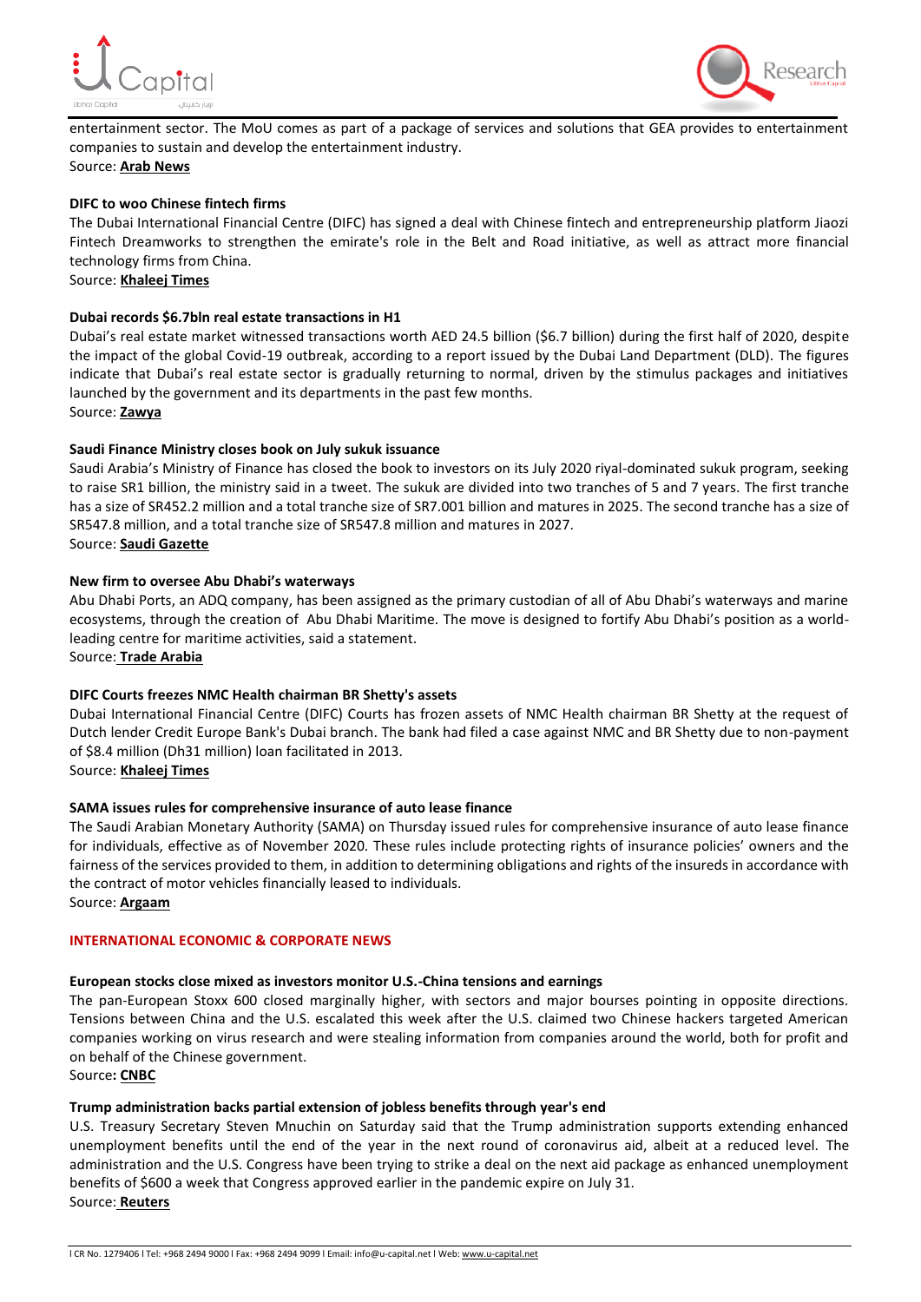



entertainment sector. The MoU comes as part of a package of services and solutions that GEA provides to entertainment companies to sustain and develop the entertainment industry. Source: **[Arab News](https://www.arabnews.com/node/1709506/business-economy)**

#### **DIFC to woo Chinese fintech firms**

The Dubai International Financial Centre (DIFC) has signed a deal with Chinese fintech and entrepreneurship platform Jiaozi Fintech Dreamworks to strengthen the emirate's role in the Belt and Road initiative, as well as attract more financial technology firms from China.

Source: **[Khaleej Times](https://www.khaleejtimes.com/business/corporate/difc-to-woo-chinese-fintech-firms)**

### **Dubai records \$6.7bln real estate transactions in H1**

Dubai's real estate market witnessed transactions worth AED 24.5 billion (\$6.7 billion) during the first half of 2020, despite the impact of the global Covid-19 outbreak, according to a report issued by the Dubai Land Department (DLD). The figures indicate that Dubai's real estate sector is gradually returning to normal, driven by the stimulus packages and initiatives launched by the government and its departments in the past few months. Source: **[Zawya](https://www.zawya.com/mena/en/business/story/Dubai_records_67bln_real_estate_transactions_in_H1-SNG_180529503/)**

#### **Saudi Finance Ministry closes book on July sukuk issuance**

Saudi Arabia's Ministry of Finance has closed the book to investors on its July 2020 riyal-dominated sukuk program, seeking to raise SR1 billion, the ministry said in a tweet. The sukuk are divided into two tranches of 5 and 7 years. The first tranche has a size of SR452.2 million and a total tranche size of SR7.001 billion and matures in 2025. The second tranche has a size of SR547.8 million, and a total tranche size of SR547.8 million and matures in 2027. Source: **[Saudi Gazette](https://saudigazette.com.sa/article/595911/SAUDI-ARABIA/Finance-Ministry-closes-book-on-July-sukuk-issuance)**

#### **New firm to oversee Abu Dhabi's waterways**

Abu Dhabi Ports, an ADQ company, has been assigned as the primary custodian of all of Abu Dhabi's waterways and marine ecosystems, through the creation of Abu Dhabi Maritime. The move is designed to fortify Abu Dhabi's position as a worldleading centre for maritime activities, said a statement.

Source: **[Trade Arabia](http://www.tradearabia.com/news/IND_370800.html)**

#### **DIFC Courts freezes NMC Health chairman BR Shetty's assets**

Dubai International Financial Centre (DIFC) Courts has frozen assets of NMC Health chairman BR Shetty at the request of Dutch lender Credit Europe Bank's Dubai branch. The bank had filed a case against NMC and BR Shetty due to non-payment of \$8.4 million (Dh31 million) loan facilitated in 2013.

Source: **[Khaleej Times](https://www.khaleejtimes.com/business/corporate/difc-courts-freezes-nmc-health-chairman-br-shettys-assets)**

#### **SAMA issues rules for comprehensive insurance of auto lease finance**

The Saudi Arabian Monetary Authority (SAMA) on Thursday issued rules for comprehensive insurance of auto lease finance for individuals, effective as of November 2020. These rules include protecting rights of insurance policies' owners and the fairness of the services provided to them, in addition to determining obligations and rights of the insureds in accordance with the contract of motor vehicles financially leased to individuals. Source: **[Argaam](https://www.argaam.com/en/article/articledetail/id/1393924)**

**INTERNATIONAL ECONOMIC & CORPORATE NEWS**

# **European stocks close mixed as investors monitor U.S.-China tensions and earnings**

The pan-European Stoxx 600 closed marginally higher, with sectors and major bourses pointing in opposite directions. Tensions between China and the U.S. escalated this week after the U.S. claimed two Chinese hackers targeted American companies working on virus research and were stealing information from companies around the world, both for profit and on behalf of the Chinese government.

Source**: [CNBC](https://www.cnbc.com/2020/07/23/european-markets-head-for-choppy-open-as-us-china-tensions-rise.html)**

# **Trump administration backs partial extension of jobless benefits through year's end**

U.S. Treasury Secretary Steven Mnuchin on Saturday said that the Trump administration supports extending enhanced unemployment benefits until the end of the year in the next round of coronavirus aid, albeit at a reduced level. The administration and the U.S. Congress have been trying to strike a deal on the next aid package as enhanced unemployment benefits of \$600 a week that Congress approved earlier in the pandemic expire on July 31. Source: **[Reuters](https://www.reuters.com/article/us-health-coronavirus-usa-congress/trump-administration-backs-partial-extension-of-jobless-benefits-through-years-end-idUSKCN24Q0U7)**